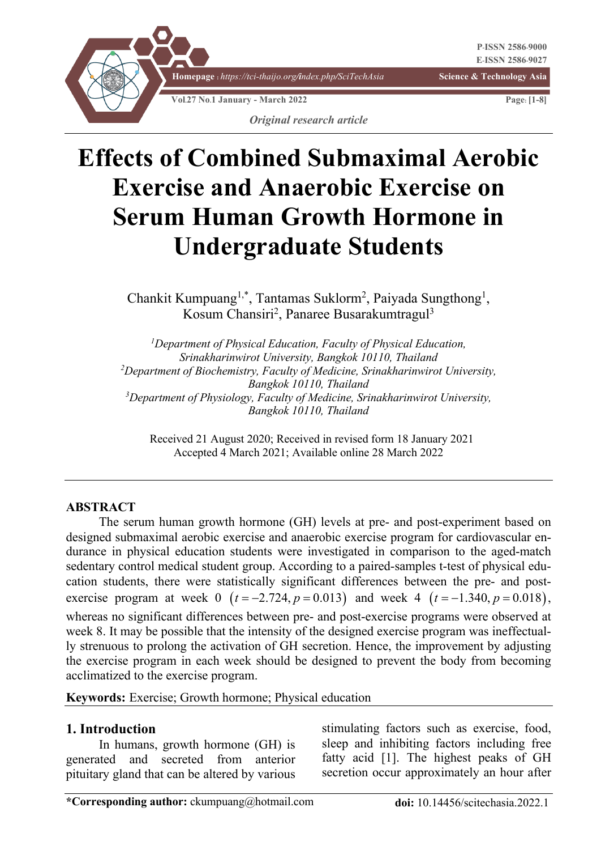

# **Effects of Combined Submaximal Aerobic Exercise and Anaerobic Exercise on Serum Human Growth Hormone in Undergraduate Students**

Chankit Kumpuang<sup>1,\*</sup>, Tantamas Suklorm<sup>2</sup>, Paiyada Sungthong<sup>1</sup>, Kosum Chansiri<sup>2</sup>, Panaree Busarakumtragul<sup>3</sup>

*1 Department of Physical Education, Faculty of Physical Education, Srinakharinwirot University, Bangkok 10110, Thailand 2 Department of Biochemistry, Faculty of Medicine, Srinakharinwirot University, Bangkok 10110, Thailand 3 Department of Physiology, Faculty of Medicine, Srinakharinwirot University, Bangkok 10110, Thailand*

 Received 21 August 2020; Received in revised form 18 January 2021 Accepted 4 March 2021; Available online 28 March 2022

#### **ABSTRACT**

The serum human growth hormone (GH) levels at pre- and post-experiment based on designed submaximal aerobic exercise and anaerobic exercise program for cardiovascular endurance in physical education students were investigated in comparison to the aged-match sedentary control medical student group. According to a paired-samples t-test of physical education students, there were statistically significant differences between the pre- and postexercise program at week 0  $(t = -2.724, p = 0.013)$  and week 4  $(t = -1.340, p = 0.018)$ , whereas no significant differences between pre- and post-exercise programs were observed at week 8. It may be possible that the intensity of the designed exercise program was ineffectually strenuous to prolong the activation of GH secretion. Hence, the improvement by adjusting the exercise program in each week should be designed to prevent the body from becoming acclimatized to the exercise program.

**Keywords:** Exercise; Growth hormone; Physical education

#### **1. Introduction**

In humans, growth hormone (GH) is generated and secreted from anterior pituitary gland that can be altered by various

stimulating factors such as exercise, food, sleep and inhibiting factors including free fatty acid [1]. The highest peaks of GH secretion occur approximately an hour after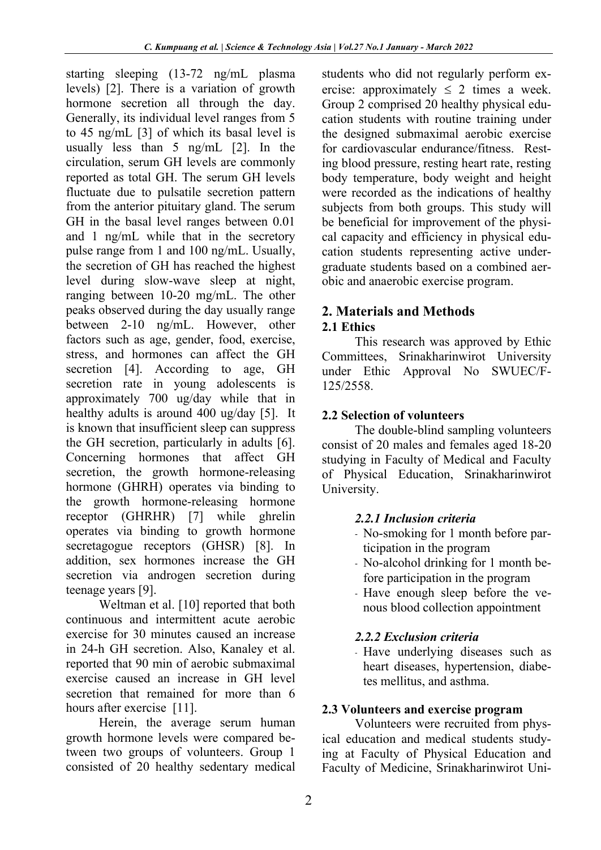starting sleeping (13-72 ng/mL plasma levels) [2]. There is a variation of growth hormone secretion all through the day. Generally, its individual level ranges from 5 to 45 ng/mL [3] of which its basal level is usually less than 5 ng/mL [2]. In the circulation, serum GH levels are commonly reported as total GH. The serum GH levels fluctuate due to pulsatile secretion pattern from the anterior pituitary gland. The serum GH in the basal level ranges between 0.01 and 1 ng/mL while that in the secretory pulse range from 1 and 100 ng/mL. Usually, the secretion of GH has reached the highest level during slow-wave sleep at night, ranging between 10-20 mg/mL. The other peaks observed during the day usually range between 2-10 ng/mL. However, other factors such as age, gender, food, exercise, stress, and hormones can affect the GH secretion [4]. According to age, GH secretion rate in young adolescents is approximately 700 ug/day while that in healthy adults is around 400 ug/day [5]. It is known that insufficient sleep can suppress the GH secretion, particularly in adults [6]. Concerning hormones that affect GH secretion, the growth hormone-releasing hormone (GHRH) operates via binding to the growth hormone-releasing hormone receptor (GHRHR) [7] while ghrelin operates via binding to growth hormone secretagogue receptors (GHSR) [8]. In addition, sex hormones increase the GH secretion via androgen secretion during teenage years [9].

Weltman et al. [10] reported that both continuous and intermittent acute aerobic exercise for 30 minutes caused an increase in 24-h GH secretion. Also, Kanaley et al. reported that 90 min of aerobic submaximal exercise caused an increase in GH level secretion that remained for more than 6 hours after exercise [11].

Herein, the average serum human growth hormone levels were compared between two groups of volunteers. Group 1 consisted of 20 healthy sedentary medical

students who did not regularly perform exercise: approximately  $\leq 2$  times a week. Group 2 comprised 20 healthy physical education students with routine training under the designed submaximal aerobic exercise for cardiovascular endurance/fitness. Resting blood pressure, resting heart rate, resting body temperature, body weight and height were recorded as the indications of healthy subjects from both groups. This study will be beneficial for improvement of the physical capacity and efficiency in physical education students representing active undergraduate students based on a combined aerobic and anaerobic exercise program.

## **2. Materials and Methods**

## **2.1 Ethics**

This research was approved by Ethic Committees, Srinakharinwirot University under Ethic Approval No SWUEC/F-125/2558.

## **2.2 Selection of volunteers**

The double-blind sampling volunteers consist of 20 males and females aged 18-20 studying in Faculty of Medical and Faculty of Physical Education, Srinakharinwirot University.

## *2.2.1 Inclusion criteria*

- No-smoking for 1 month before participation in the program
- No-alcohol drinking for 1 month before participation in the program
- Have enough sleep before the venous blood collection appointment

## *2.2.2 Exclusion criteria*

- Have underlying diseases such as heart diseases, hypertension, diabetes mellitus, and asthma.

## **2.3 Volunteers and exercise program**

Volunteers were recruited from physical education and medical students studying at Faculty of Physical Education and Faculty of Medicine, Srinakharinwirot Uni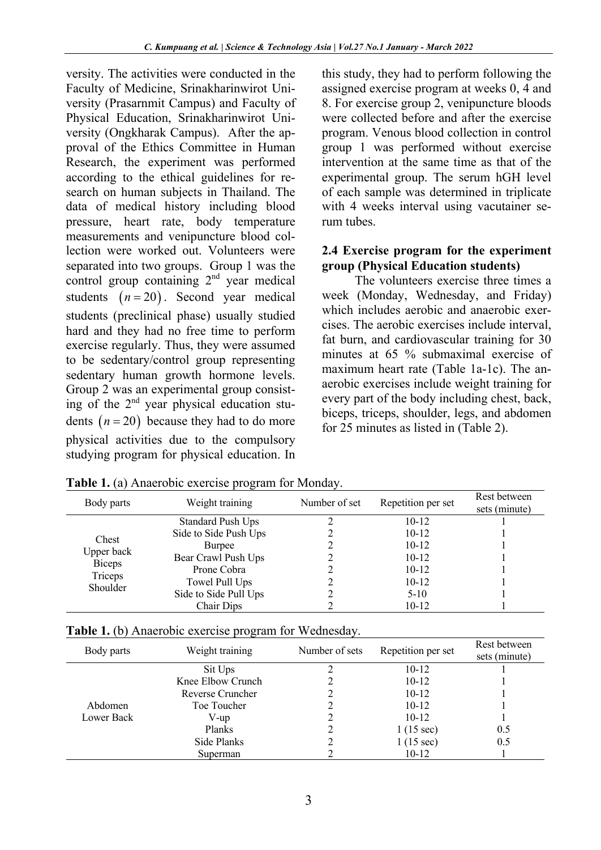versity. The activities were conducted in the Faculty of Medicine, Srinakharinwirot University (Prasarnmit Campus) and Faculty of Physical Education, Srinakharinwirot University (Ongkharak Campus). After the approval of the Ethics Committee in Human Research, the experiment was performed according to the ethical guidelines for research on human subjects in Thailand. The data of medical history including blood pressure, heart rate, body temperature measurements and venipuncture blood collection were worked out. Volunteers were separated into two groups. Group 1 was the control group containing 2<sup>nd</sup> year medical students  $(n=20)$ . Second year medical students (preclinical phase) usually studied hard and they had no free time to perform exercise regularly. Thus, they were assumed to be sedentary/control group representing sedentary human growth hormone levels. Group 2 was an experimental group consisting of the  $2<sup>nd</sup>$  year physical education students  $(n = 20)$  because they had to do more physical activities due to the compulsory studying program for physical education. In

this study, they had to perform following the assigned exercise program at weeks 0, 4 and 8. For exercise group 2, venipuncture bloods were collected before and after the exercise program. Venous blood collection in control group 1 was performed without exercise intervention at the same time as that of the experimental group. The serum hGH level of each sample was determined in triplicate with 4 weeks interval using vacutainer serum tubes.

#### **2.4 Exercise program for the experiment group (Physical Education students)**

The volunteers exercise three times a week (Monday, Wednesday, and Friday) which includes aerobic and anaerobic exercises. The aerobic exercises include interval, fat burn, and cardiovascular training for 30 minutes at 65 % submaximal exercise of maximum heart rate (Table 1a-1c). The anaerobic exercises include weight training for every part of the body including chest, back, biceps, triceps, shoulder, legs, and abdomen for 25 minutes as listed in (Table 2).

| Body parts                                         | Weight training          | Number of set | Repetition per set | Rest between<br>sets (minute) |
|----------------------------------------------------|--------------------------|---------------|--------------------|-------------------------------|
|                                                    | <b>Standard Push Ups</b> |               | $10 - 12$          |                               |
| Chest                                              | Side to Side Push Ups    |               | $10 - 12$          |                               |
|                                                    | Burpee                   |               | $10 - 12$          |                               |
| Upper back<br><b>Biceps</b><br>Triceps<br>Shoulder | Bear Crawl Push Ups      |               | $10 - 12$          |                               |
|                                                    | Prone Cobra              |               | $10 - 12$          |                               |
|                                                    | Towel Pull Ups           |               | $10 - 12$          |                               |
|                                                    | Side to Side Pull Ups    |               | $5 - 10$           |                               |
|                                                    | Chair Dips               |               | $10 - 12$          |                               |

**Table 1.** (a) Anaerobic exercise program for Monday.

|  | Table 1. (b) Anaerobic exercise program for Wednesday. |  |
|--|--------------------------------------------------------|--|

| Body parts | Weight training   | Number of sets | Repetition per set  | Rest between<br>sets (minute) |
|------------|-------------------|----------------|---------------------|-------------------------------|
|            | Sit Ups           |                | $10 - 12$           |                               |
|            | Knee Elbow Crunch |                | $10 - 12$           |                               |
|            | Reverse Cruncher  |                | $10-12$             |                               |
| Abdomen    | Toe Toucher       |                | $10 - 12$           |                               |
| Lower Back | V-up              |                | $10-12$             |                               |
|            | Planks            |                | $1(15 \text{ sec})$ | 0.5                           |
|            | Side Planks       |                | $1(15 \text{ sec})$ | 0.5                           |
|            | Superman          |                | $10-12$             |                               |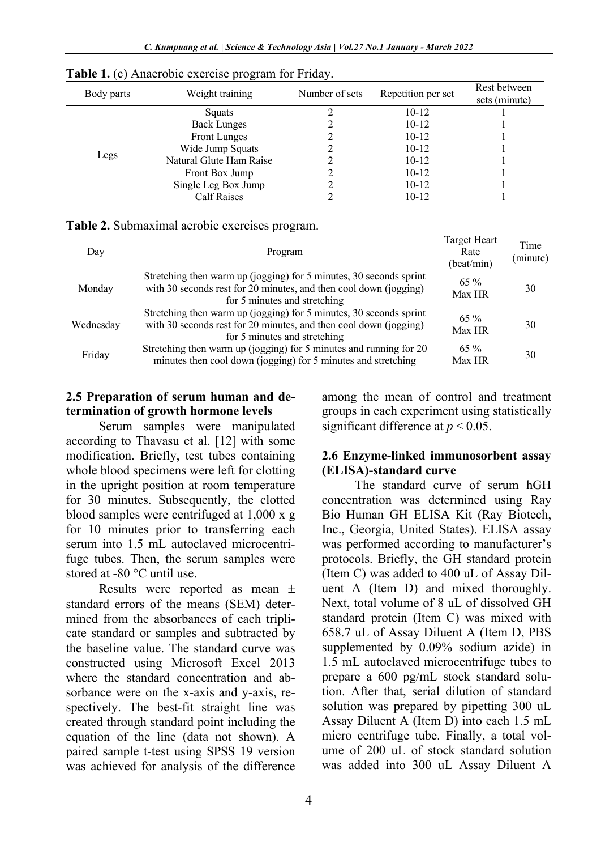| Body parts | Weight training         | Number of sets | Repetition per set | Rest between<br>sets (minute) |
|------------|-------------------------|----------------|--------------------|-------------------------------|
|            | Squats                  |                | $10 - 12$          |                               |
|            | <b>Back Lunges</b>      |                | $10-12$            |                               |
|            | Front Lunges            |                | $10 - 12$          |                               |
|            | Wide Jump Squats        |                | $10 - 12$          |                               |
| Legs       | Natural Glute Ham Raise |                | $10 - 12$          |                               |
|            | Front Box Jump          |                | $10 - 12$          |                               |
|            | Single Leg Box Jump     |                | $10 - 12$          |                               |
|            | <b>Calf Raises</b>      |                | $10-12$            |                               |

**Table 1.** (c) Anaerobic exercise program for Friday.

|  |  | Table 2. Submaximal aerobic exercises program. |
|--|--|------------------------------------------------|
|  |  |                                                |

| Day       | Program                                                                                                                                                                 | Target Heart<br>Rate<br>(beat/min) | Time<br>(minute) |
|-----------|-------------------------------------------------------------------------------------------------------------------------------------------------------------------------|------------------------------------|------------------|
| Monday    | Stretching then warm up (jogging) for 5 minutes, 30 seconds sprint<br>with 30 seconds rest for 20 minutes, and then cool down (jogging)<br>for 5 minutes and stretching | $65\%$<br>Max HR                   | 30               |
| Wednesday | Stretching then warm up (jogging) for 5 minutes, 30 seconds sprint<br>with 30 seconds rest for 20 minutes, and then cool down (jogging)<br>for 5 minutes and stretching | $65\%$<br>Max HR                   | 30               |
| Friday    | Stretching then warm up (jogging) for 5 minutes and running for 20<br>minutes then cool down (jogging) for 5 minutes and stretching                                     | $65\%$<br><b>Max HR</b>            | 30               |

#### **2.5 Preparation of serum human and determination of growth hormone levels**

Serum samples were manipulated according to Thavasu et al. [12] with some modification. Briefly, test tubes containing whole blood specimens were left for clotting in the upright position at room temperature for 30 minutes. Subsequently, the clotted blood samples were centrifuged at 1,000 x g for 10 minutes prior to transferring each serum into 1.5 mL autoclaved microcentrifuge tubes. Then, the serum samples were stored at -80 °C until use.

Results were reported as mean ± standard errors of the means (SEM) determined from the absorbances of each triplicate standard or samples and subtracted by the baseline value. The standard curve was constructed using Microsoft Excel 2013 where the standard concentration and absorbance were on the x-axis and y-axis, respectively. The best-fit straight line was created through standard point including the equation of the line (data not shown). A paired sample t-test using SPSS 19 version was achieved for analysis of the difference among the mean of control and treatment groups in each experiment using statistically significant difference at  $p < 0.05$ .

#### **2.6 Enzyme-linked immunosorbent assay (ELISA)-standard curve**

The standard curve of serum hGH concentration was determined using Ray Bio Human GH ELISA Kit (Ray Biotech, Inc., Georgia, United States). ELISA assay was performed according to manufacturer's protocols. Briefly, the GH standard protein (Item C) was added to 400 uL of Assay Diluent A (Item D) and mixed thoroughly. Next, total volume of 8 uL of dissolved GH standard protein (Item C) was mixed with 658.7 uL of Assay Diluent A (Item D, PBS supplemented by 0.09% sodium azide) in 1.5 mL autoclaved microcentrifuge tubes to prepare a 600 pg/mL stock standard solution. After that, serial dilution of standard solution was prepared by pipetting 300 uL Assay Diluent A (Item D) into each 1.5 mL micro centrifuge tube. Finally, a total volume of 200 uL of stock standard solution was added into 300 uL Assay Diluent A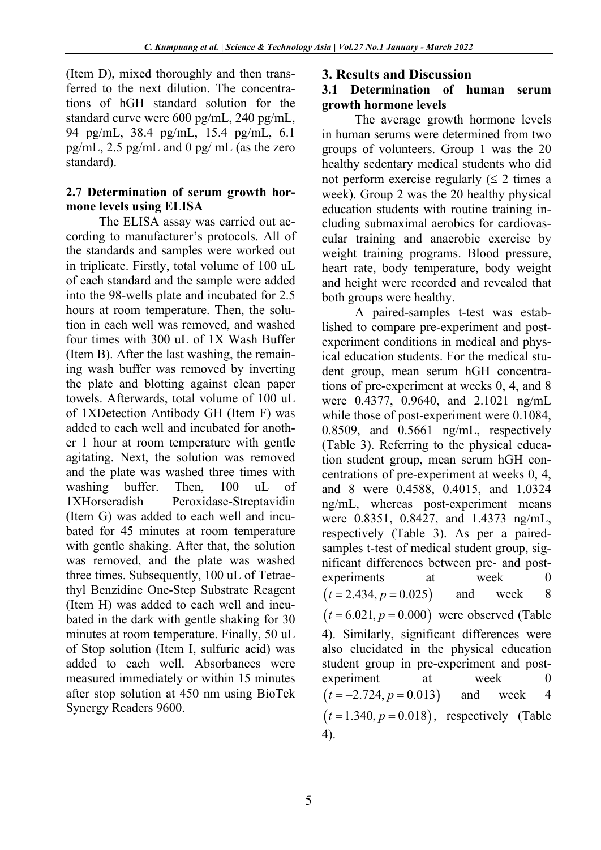(Item D), mixed thoroughly and then transferred to the next dilution. The concentrations of hGH standard solution for the standard curve were 600 pg/mL, 240 pg/mL, 94 pg/mL, 38.4 pg/mL, 15.4 pg/mL, 6.1 pg/mL, 2.5 pg/mL and 0 pg/ mL (as the zero standard).

## **2.7 Determination of serum growth hormone levels using ELISA**

The ELISA assay was carried out according to manufacturer's protocols. All of the standards and samples were worked out in triplicate. Firstly, total volume of 100 uL of each standard and the sample were added into the 98-wells plate and incubated for 2.5 hours at room temperature. Then, the solution in each well was removed, and washed four times with 300 uL of 1X Wash Buffer (Item B). After the last washing, the remaining wash buffer was removed by inverting the plate and blotting against clean paper towels. Afterwards, total volume of 100 uL of 1XDetection Antibody GH (Item F) was added to each well and incubated for another 1 hour at room temperature with gentle agitating. Next, the solution was removed and the plate was washed three times with washing buffer. Then, 100 uL of 1XHorseradish Peroxidase-Streptavidin (Item G) was added to each well and incubated for 45 minutes at room temperature with gentle shaking. After that, the solution was removed, and the plate was washed three times. Subsequently, 100 uL of Tetraethyl Benzidine One-Step Substrate Reagent (Item H) was added to each well and incubated in the dark with gentle shaking for 30 minutes at room temperature. Finally, 50 uL of Stop solution (Item I, sulfuric acid) was added to each well. Absorbances were measured immediately or within 15 minutes after stop solution at 450 nm using BioTek Synergy Readers 9600.

## **3. Results and Discussion**

#### **3.1 Determination of human serum growth hormone levels**

The average growth hormone levels in human serums were determined from two groups of volunteers. Group 1 was the 20 healthy sedentary medical students who did not perform exercise regularly  $( \leq 2 \text{ times a})$ week). Group 2 was the 20 healthy physical education students with routine training including submaximal aerobics for cardiovascular training and anaerobic exercise by weight training programs. Blood pressure, heart rate, body temperature, body weight and height were recorded and revealed that both groups were healthy.

A paired-samples t-test was established to compare pre-experiment and postexperiment conditions in medical and physical education students. For the medical student group, mean serum hGH concentrations of pre-experiment at weeks 0, 4, and 8 were 0.4377, 0.9640, and 2.1021 ng/mL while those of post-experiment were 0.1084, 0.8509, and 0.5661 ng/mL, respectively (Table 3). Referring to the physical education student group, mean serum hGH concentrations of pre-experiment at weeks 0, 4, and 8 were 0.4588, 0.4015, and 1.0324 ng/mL, whereas post-experiment means were 0.8351, 0.8427, and 1.4373 ng/mL, respectively (Table 3). As per a pairedsamples t-test of medical student group, significant differences between pre- and postexperiments at week 0 and week 8  $(t = 6.021, p = 0.000)$  were observed (Table 4). Similarly, significant differences were also elucidated in the physical education student group in pre-experiment and postexperiment at week 0 and week 4  $(t=1.340, p=0.018)$ , respectively (Table 4).  $(t = 2.434, p = 0.025)$  $(t = -2.724, p = 0.013)$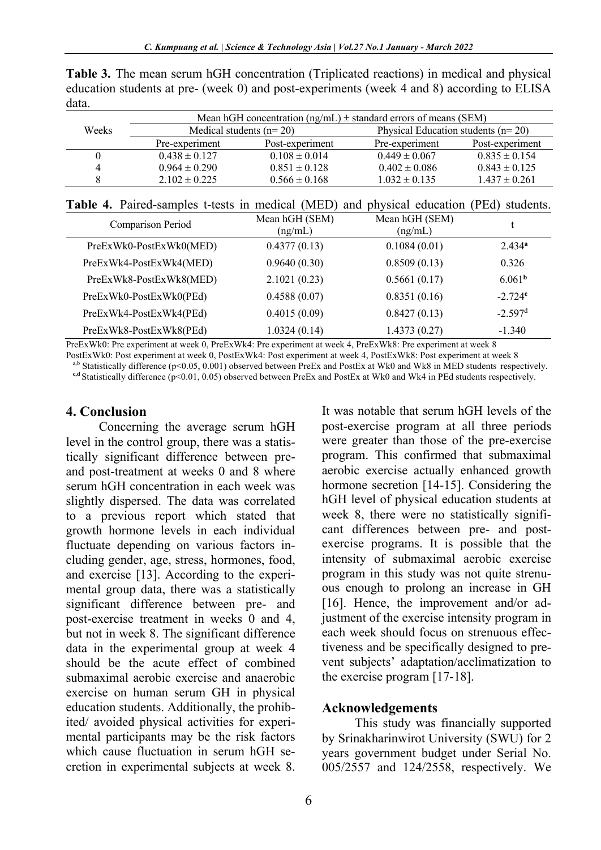**Table 3.** The mean serum hGH concentration (Triplicated reactions) in medical and physical education students at pre- (week 0) and post-experiments (week 4 and 8) according to ELISA data.

|       | Mean hGH concentration $(np/mL)$ ± standard errors of means (SEM) |                   |                                      |                   |  |
|-------|-------------------------------------------------------------------|-------------------|--------------------------------------|-------------------|--|
| Weeks | Medical students $(n=20)$                                         |                   | Physical Education students $(n=20)$ |                   |  |
|       | Pre-experiment                                                    | Post-experiment   | Pre-experiment                       | Post-experiment   |  |
|       | $0.438 \pm 0.127$                                                 | $0.108 \pm 0.014$ | $0.449 \pm 0.067$                    | $0.835 \pm 0.154$ |  |
|       | $0.964 \pm 0.290$                                                 | $0.851 \pm 0.128$ | $0.402 \pm 0.086$                    | $0.843 \pm 0.125$ |  |
|       | $2.102 \pm 0.225$                                                 | $0.566 \pm 0.168$ | $1.032 \pm 0.135$                    | $1.437 \pm 0.261$ |  |
|       |                                                                   |                   |                                      |                   |  |

**Table 4.** Paired-samples t-tests in medical (MED) and physical education (PEd) students.

| Comparison Period       | Mean hGH (SEM)<br>(ng/mL) | Mean hGH (SEM)<br>(ng/mL) |                    |
|-------------------------|---------------------------|---------------------------|--------------------|
| PreExWk0-PostExWk0(MED) | 0.4377(0.13)              | 0.1084(0.01)              | 2.434 <sup>a</sup> |
| PreExWk4-PostExWk4(MED) | 0.9640(0.30)              | 0.8509(0.13)              | 0.326              |
| PreExWk8-PostExWk8(MED) | 2.1021(0.23)              | 0.5661(0.17)              | 6.061 <sup>b</sup> |
| PreExWk0-PostExWk0(PEd) | 0.4588(0.07)              | 0.8351(0.16)              | $-2.724c$          |
| PreExWk4-PostExWk4(PEd) | 0.4015(0.09)              | 0.8427(0.13)              | $-2.597d$          |
| PreExWk8-PostExWk8(PEd) | 1.0324(0.14)              | 1.4373(0.27)              | $-1.340$           |

PreExWk0: Pre experiment at week 0, PreExWk4: Pre experiment at week 4, PreExWk8: Pre experiment at week 8

PostExWk0: Post experiment at week 0, PostExWk4: Post experiment at week 4, PostExWk8: Post experiment at week 8

a,b Statistically difference (p<0.05, 0.001) observed between PreEx and PostEx at Wk0 and Wk8 in MED students respectively.

**c,d** Statistically difference (p<0.01, 0.05) observed between PreEx and PostEx at Wk0 and Wk4 in PEd students respectively.

#### **4. Conclusion**

Concerning the average serum hGH level in the control group, there was a statistically significant difference between preand post-treatment at weeks 0 and 8 where serum hGH concentration in each week was slightly dispersed. The data was correlated to a previous report which stated that growth hormone levels in each individual fluctuate depending on various factors including gender, age, stress, hormones, food, and exercise [13]. According to the experimental group data, there was a statistically significant difference between pre- and post-exercise treatment in weeks 0 and 4, but not in week 8. The significant difference data in the experimental group at week 4 should be the acute effect of combined submaximal aerobic exercise and anaerobic exercise on human serum GH in physical education students. Additionally, the prohibited/ avoided physical activities for experimental participants may be the risk factors which cause fluctuation in serum hGH secretion in experimental subjects at week 8.

It was notable that serum hGH levels of the post-exercise program at all three periods were greater than those of the pre-exercise program. This confirmed that submaximal aerobic exercise actually enhanced growth hormone secretion [14-15]. Considering the hGH level of physical education students at week 8, there were no statistically significant differences between pre- and postexercise programs. It is possible that the intensity of submaximal aerobic exercise program in this study was not quite strenuous enough to prolong an increase in GH [16]. Hence, the improvement and/or adjustment of the exercise intensity program in each week should focus on strenuous effectiveness and be specifically designed to prevent subjects' adaptation/acclimatization to the exercise program [17-18].

#### **Acknowledgements**

This study was financially supported by Srinakharinwirot University (SWU) for 2 years government budget under Serial No. 005/2557 and 124/2558, respectively. We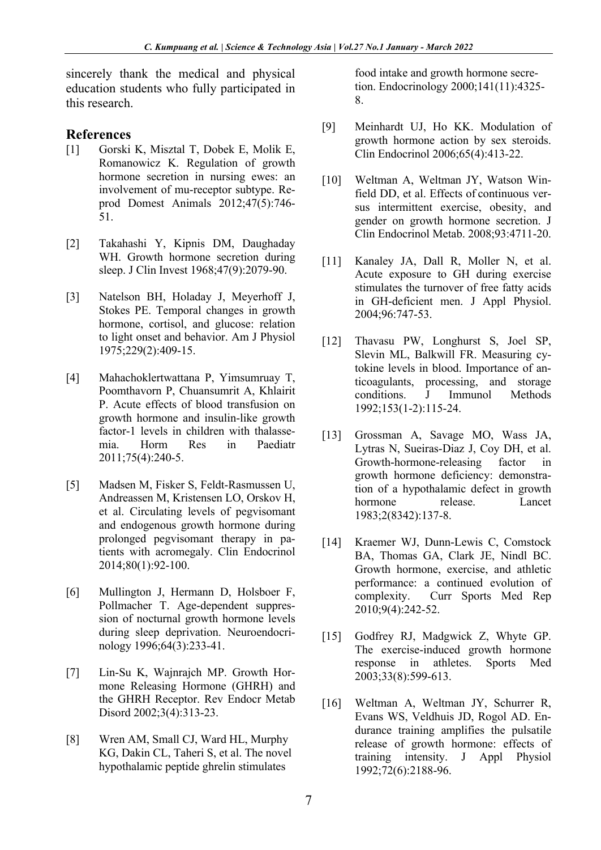sincerely thank the medical and physical education students who fully participated in this research.

#### **References**

- [1] Gorski K, Misztal T, Dobek E, Molik E, Romanowicz K. Regulation of growth hormone secretion in nursing ewes: an involvement of mu-receptor subtype. Reprod Domest Animals 2012;47(5):746- 51.
- [2] Takahashi Y, Kipnis DM, Daughaday WH. Growth hormone secretion during sleep. J Clin Invest 1968;47(9):2079-90.
- [3] Natelson BH, Holaday J, Meyerhoff J, Stokes PE. Temporal changes in growth hormone, cortisol, and glucose: relation to light onset and behavior. Am J Physiol 1975;229(2):409-15.
- [4] Mahachoklertwattana P, Yimsumruay T, Poomthavorn P, Chuansumrit A, Khlairit P. Acute effects of blood transfusion on growth hormone and insulin-like growth factor-1 levels in children with thalassemia. Horm Res in Paediatr 2011;75(4):240-5.
- [5] Madsen M, Fisker S, Feldt-Rasmussen U, Andreassen M, Kristensen LO, Orskov H, et al. Circulating levels of pegvisomant and endogenous growth hormone during prolonged pegvisomant therapy in patients with acromegaly. Clin Endocrinol 2014;80(1):92-100.
- [6] Mullington J, Hermann D, Holsboer F, Pollmacher T. Age-dependent suppression of nocturnal growth hormone levels during sleep deprivation. Neuroendocrinology 1996;64(3):233-41.
- [7] Lin-Su K, Wajnrajch MP. Growth Hormone Releasing Hormone (GHRH) and the GHRH Receptor. Rev Endocr Metab Disord 2002;3(4):313-23.
- [8] Wren AM, Small CJ, Ward HL, Murphy KG, Dakin CL, Taheri S, et al. The novel hypothalamic peptide ghrelin stimulates

food intake and growth hormone secretion. Endocrinology 2000;141(11):4325- 8.

- [9] Meinhardt UJ, Ho KK. Modulation of growth hormone action by sex steroids. Clin Endocrinol 2006;65(4):413-22.
- [10] Weltman A, Weltman JY, Watson Winfield DD, et al. Effects of continuous versus intermittent exercise, obesity, and gender on growth hormone secretion. J Clin Endocrinol Metab. 2008;93:4711-20.
- [11] Kanaley JA, Dall R, Moller N, et al. Acute exposure to GH during exercise stimulates the turnover of free fatty acids in GH-deficient men. J Appl Physiol. 2004;96:747-53.
- [12] Thavasu PW, Longhurst S, Joel SP, Slevin ML, Balkwill FR. Measuring cytokine levels in blood. Importance of anticoagulants, processing, and storage conditions. J Immunol Methods 1992;153(1-2):115-24.
- [13] Grossman A, Savage MO, Wass JA, Lytras N, Sueiras-Diaz J, Coy DH, et al. Growth-hormone-releasing factor in growth hormone deficiency: demonstration of a hypothalamic defect in growth hormone release. Lancet 1983;2(8342):137-8.
- [14] Kraemer WJ, Dunn-Lewis C, Comstock BA, Thomas GA, Clark JE, Nindl BC. Growth hormone, exercise, and athletic performance: a continued evolution of complexity. Curr Sports Med Rep 2010;9(4):242-52.
- [15] Godfrey RJ, Madgwick Z, Whyte GP. The exercise-induced growth hormone response in athletes. Sports Med 2003;33(8):599-613.
- [16] Weltman A, Weltman JY, Schurrer R, Evans WS, Veldhuis JD, Rogol AD. Endurance training amplifies the pulsatile release of growth hormone: effects of training intensity. J Appl Physiol 1992;72(6):2188-96.